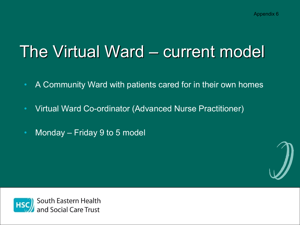## The Virtual Ward – current model

- A Community Ward with patients cared for in their own homes
- Virtual Ward Co-ordinator (Advanced Nurse Practitioner)
- Monday Friday 9 to 5 model



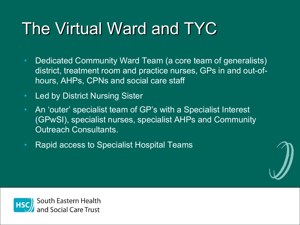## The Virtual Ward and TYC

- Dedicated Community Ward Team (a core team of generalists) district, treatment room and practice nurses, GPs in and out-ofhours, AHPs, CPNs and social care staff
- Led by District Nursing Sister
- An 'outer' specialist team of GP's with a Specialist Interest (GPwSI), specialist nurses, specialist AHPs and Community Outreach Consultants.
- Rapid access to Specialist Hospital Teams



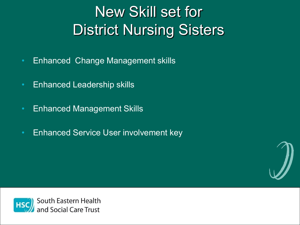## New Skill set for District Nursing Sisters

- Enhanced Change Management skills
- Enhanced Leadership skills
- Enhanced Management Skills
- Enhanced Service User involvement key